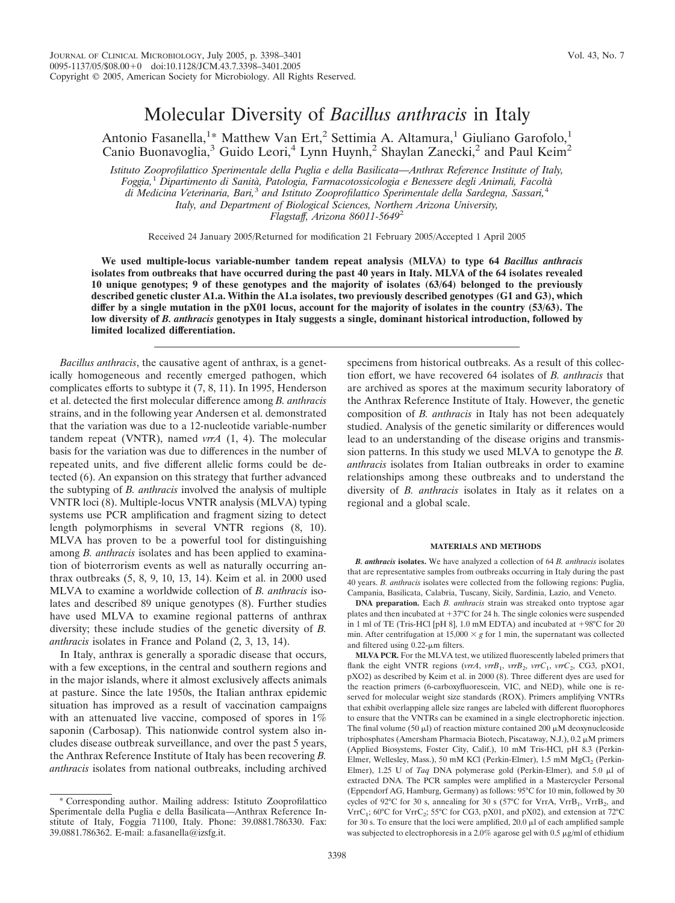# Molecular Diversity of *Bacillus anthracis* in Italy

Antonio Fasanella,<sup>1</sup>\* Matthew Van Ert,<sup>2</sup> Settimia A. Altamura,<sup>1</sup> Giuliano Garofolo,<sup>1</sup> Canio Buonavoglia,<sup>3</sup> Guido Leori,<sup>4</sup> Lynn Huynh,<sup>2</sup> Shaylan Zanecki,<sup>2</sup> and Paul Keim<sup>2</sup>

*Istituto Zooprofilattico Sperimentale della Puglia e della Basilicata—Anthrax Reference Institute of Italy, Foggia,*<sup>1</sup> *Dipartimento di Sanita`, Patologia, Farmacotossicologia e Benessere degli Animali, Facolta` di Medicina Veterinaria, Bari,*<sup>3</sup> *and Istituto Zooprofilattico Sperimentale della Sardegna, Sassari,*<sup>4</sup> *Italy, and Department of Biological Sciences, Northern Arizona University, Flagstaff, Arizona 86011-5649*<sup>2</sup>

Received 24 January 2005/Returned for modification 21 February 2005/Accepted 1 April 2005

**We used multiple-locus variable-number tandem repeat analysis (MLVA) to type 64** *Bacillus anthracis* **isolates from outbreaks that have occurred during the past 40 years in Italy. MLVA of the 64 isolates revealed 10 unique genotypes; 9 of these genotypes and the majority of isolates (63/64) belonged to the previously described genetic cluster A1.a. Within the A1.a isolates, two previously described genotypes (G1 and G3), which differ by a single mutation in the pX01 locus, account for the majority of isolates in the country (53/63). The low diversity of** *B. anthracis* **genotypes in Italy suggests a single, dominant historical introduction, followed by limited localized differentiation.**

*Bacillus anthracis*, the causative agent of anthrax, is a genetically homogeneous and recently emerged pathogen, which complicates efforts to subtype it (7, 8, 11). In 1995, Henderson et al. detected the first molecular difference among *B. anthracis* strains, and in the following year Andersen et al. demonstrated that the variation was due to a 12-nucleotide variable-number tandem repeat (VNTR), named *vrrA* (1, 4). The molecular basis for the variation was due to differences in the number of repeated units, and five different allelic forms could be detected (6). An expansion on this strategy that further advanced the subtyping of *B. anthracis* involved the analysis of multiple VNTR loci (8). Multiple-locus VNTR analysis (MLVA) typing systems use PCR amplification and fragment sizing to detect length polymorphisms in several VNTR regions (8, 10). MLVA has proven to be a powerful tool for distinguishing among *B. anthracis* isolates and has been applied to examination of bioterrorism events as well as naturally occurring anthrax outbreaks (5, 8, 9, 10, 13, 14). Keim et al. in 2000 used MLVA to examine a worldwide collection of *B. anthracis* isolates and described 89 unique genotypes (8). Further studies have used MLVA to examine regional patterns of anthrax diversity; these include studies of the genetic diversity of *B. anthracis* isolates in France and Poland (2, 3, 13, 14).

In Italy, anthrax is generally a sporadic disease that occurs, with a few exceptions, in the central and southern regions and in the major islands, where it almost exclusively affects animals at pasture. Since the late 1950s, the Italian anthrax epidemic situation has improved as a result of vaccination campaigns with an attenuated live vaccine, composed of spores in  $1\%$ saponin (Carbosap). This nationwide control system also includes disease outbreak surveillance, and over the past 5 years, the Anthrax Reference Institute of Italy has been recovering *B. anthracis* isolates from national outbreaks, including archived

specimens from historical outbreaks. As a result of this collection effort, we have recovered 64 isolates of *B. anthracis* that are archived as spores at the maximum security laboratory of the Anthrax Reference Institute of Italy. However, the genetic composition of *B. anthracis* in Italy has not been adequately studied. Analysis of the genetic similarity or differences would lead to an understanding of the disease origins and transmission patterns. In this study we used MLVA to genotype the *B. anthracis* isolates from Italian outbreaks in order to examine relationships among these outbreaks and to understand the diversity of *B. anthracis* isolates in Italy as it relates on a regional and a global scale.

# **MATERIALS AND METHODS**

*B. anthracis* **isolates.** We have analyzed a collection of 64 *B. anthracis* isolates that are representative samples from outbreaks occurring in Italy during the past 40 years. *B. anthracis* isolates were collected from the following regions: Puglia, Campania, Basilicata, Calabria, Tuscany, Sicily, Sardinia, Lazio, and Veneto.

**DNA preparation.** Each *B. anthracis* strain was streaked onto tryptose agar plates and then incubated at  $+37^{\circ}$ C for 24 h. The single colonies were suspended in 1 ml of TE (Tris-HCl [pH 8], 1.0 mM EDTA) and incubated at  $+98^{\circ}$ C for 20 min. After centrifugation at  $15,000 \times g$  for 1 min, the supernatant was collected and filtered using  $0.22$ - $\mu$ m filters.

**MLVA PCR.** For the MLVA test, we utilized fluorescently labeled primers that flank the eight VNTR regions ( $vrrA$ ,  $vrrB_1$ ,  $vrrB_2$ ,  $vrrC_1$ ,  $vrrC_2$ , CG3, pXO1, pXO2) as described by Keim et al. in 2000 (8). Three different dyes are used for the reaction primers (6-carboxyfluorescein, VIC, and NED), while one is reserved for molecular weight size standards (ROX). Primers amplifying VNTRs that exhibit overlapping allele size ranges are labeled with different fluorophores to ensure that the VNTRs can be examined in a single electrophoretic injection. The final volume (50  $\mu$ l) of reaction mixture contained 200  $\mu$ M deoxynucleoside triphosphates (Amersham Pharmacia Biotech, Piscataway, N.J.), 0.2 µM primers (Applied Biosystems, Foster City, Calif.), 10 mM Tris-HCl, pH 8.3 (Perkin-Elmer, Wellesley, Mass.), 50 mM KCl (Perkin-Elmer), 1.5 mM MgCl<sub>2</sub> (Perkin-Elmer), 1.25 U of *Taq* DNA polymerase gold (Perkin-Elmer), and 5.0 µl of extracted DNA. The PCR samples were amplified in a Mastercycler Personal (Eppendorf AG, Hamburg, Germany) as follows: 95°C for 10 min, followed by 30 cycles of 92°C for 30 s, annealing for 30 s (57°C for VrrA, VrrB<sub>1</sub>, VrrB<sub>2</sub>, and VrrC<sub>1</sub>; 60°C for VrrC<sub>2</sub>; 55°C for CG3, pX01, and pX02), and extension at 72°C for 30 s. To ensure that the loci were amplified, 20.0  $\mu$ l of each amplified sample was subjected to electrophoresis in a 2.0% agarose gel with 0.5  $\mu$ g/ml of ethidium

<sup>\*</sup> Corresponding author. Mailing address: Istituto Zooprofilattico Sperimentale della Puglia e della Basilicata—Anthrax Reference Institute of Italy, Foggia 71100, Italy. Phone: 39.0881.786330. Fax: 39.0881.786362. E-mail: a.fasanella@izsfg.it.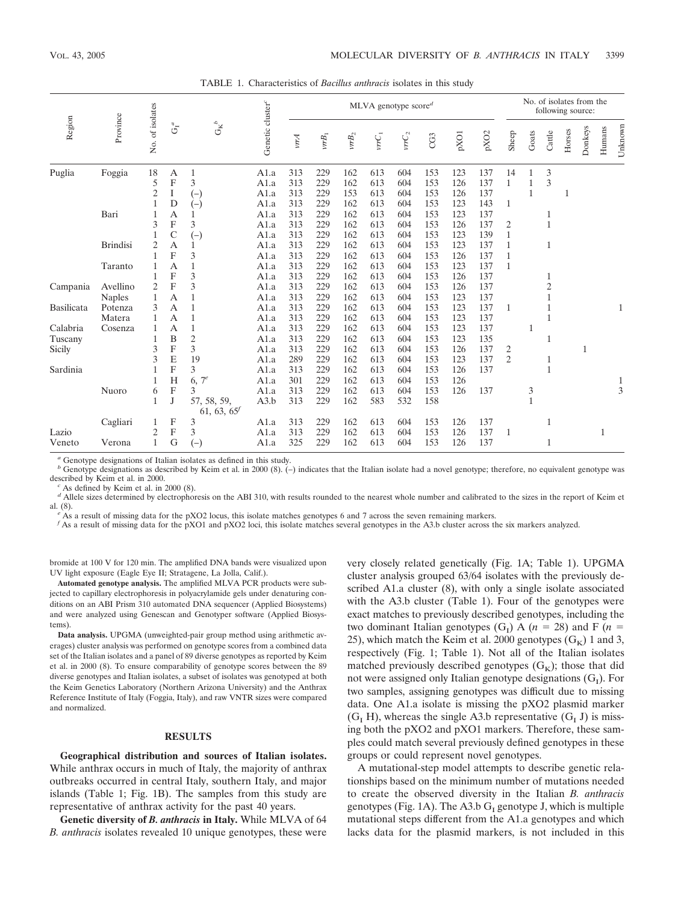| Genetic cluster <sup>c</sup><br>No. of isolates<br>Province<br>Region<br>$G_K^b$<br>$G^a$<br>pXO <sub>2</sub><br>pXO1<br>$\nu r B_2$<br>$v\mathit{r}\mathit{r}\mathit{C}_2$<br>$\nu r B_1$<br>vrrC <sub>1</sub><br>CG3<br>puh<br>18<br>162<br>153<br>123<br>Puglia<br>313<br>229<br>613<br>604<br>137<br>Foggia<br>$\mathbf{1}$<br>A1.a<br>А | Sheep<br>14                  | Goats        | Cattle              | Horses | Donkeys |        |         |
|----------------------------------------------------------------------------------------------------------------------------------------------------------------------------------------------------------------------------------------------------------------------------------------------------------------------------------------------|------------------------------|--------------|---------------------|--------|---------|--------|---------|
|                                                                                                                                                                                                                                                                                                                                              |                              |              |                     |        |         | Humans | Unknown |
| $\mathbf F$<br>3<br>5<br>A1.a<br>313<br>229<br>162<br>153<br>126<br>137<br>613<br>604<br>2<br>I<br>A1.a<br>313<br>229<br>613<br>604<br>153<br>126<br>137<br>153<br>$(-)$                                                                                                                                                                     | $\mathbf{1}$                 | 1<br>1<br>1  | 3<br>3              | 1      |         |        |         |
| D<br>A1.a<br>313<br>229<br>162<br>613<br>604<br>153<br>123<br>143<br>$(-)$<br>A1.a<br>313<br>229<br>162<br>613<br>153<br>123<br>137<br>Bari<br>A<br>604<br>F<br>3<br>3<br>229<br>162                                                                                                                                                         | $\mathbf{1}$                 |              | 1                   |        |         |        |         |
| 313<br>613<br>153<br>137<br>A1.a<br>604<br>126<br>С<br>A1.a<br>229<br>162<br>613<br>604<br>153<br>123<br>139<br>313<br>$(-)$<br>A<br><b>Brindisi</b><br>2<br>229<br>153<br>123<br>A1.a<br>313<br>162<br>613<br>604<br>137<br>1                                                                                                               | $\overline{2}$<br>1<br>1     |              | 1                   |        |         |        |         |
| F<br>3<br>A1.a<br>313<br>162<br>613<br>153<br>229<br>604<br>126<br>137<br>A1.a<br>313<br>229<br>162<br>613<br>604<br>153<br>123<br>137<br>Taranto<br>A<br>1                                                                                                                                                                                  | $\mathbf{1}$<br>$\mathbf{1}$ |              |                     |        |         |        |         |
| F<br>3<br>613<br>153<br>126<br>A1.a<br>313<br>229<br>162<br>604<br>137<br>F<br>3<br>Avellino<br>2<br>A1.a<br>313<br>229<br>162<br>613<br>153<br>126<br>137<br>604<br>Campania<br>A<br>229<br>162<br>613<br>153<br>123<br>137<br>1<br>A1.a<br>313<br>604<br><b>Naples</b>                                                                     |                              |              | 1<br>$\overline{c}$ |        |         |        |         |
| Basilicata<br>3<br>229<br>162<br>613<br>604<br>153<br>123<br>137<br>A<br>A1.a<br>313<br>Potenza<br>313<br>229<br>162<br>613<br>153<br>123<br>137<br>Matera<br>A<br>1<br>A1.a<br>604                                                                                                                                                          | 1                            |              |                     |        |         |        |         |
| $\mathbf{1}$<br>313<br>229<br>162<br>613<br>153<br>123<br>137<br>Calabria<br>A<br>A1.a<br>604<br>Cosenza<br>B<br>$\mathfrak{2}$<br>A1.a<br>313<br>162<br>613<br>604<br>153<br>123<br>135<br>229<br>Tuscany                                                                                                                                   |                              | $\mathbf{1}$ |                     |        |         |        |         |
| 3<br>F<br>3<br>313<br>229<br>162<br>613<br>153<br>126<br>137<br>A1.a<br>604<br>Sicily<br>E<br>3<br>19<br>A1.a<br>289<br>229<br>162<br>613<br>604<br>153<br>123<br>137<br>F<br>3<br>Sardinia<br>313<br>229<br>162<br>613<br>604<br>153<br>126<br>137<br>A1.a                                                                                  | 2<br>$\overline{2}$          |              | 1                   |        | 1       |        |         |
| H<br>6, $7^e$<br>301<br>229<br>162<br>613<br>604<br>153<br>126<br>A1.a<br>F<br>3<br>Nuoro<br>A1.a<br>313<br>229<br>162<br>613<br>604<br>153<br>126<br>137<br>6                                                                                                                                                                               |                              | 3            |                     |        |         |        | 3       |
| J<br>A3.b<br>313<br>229<br>162<br>583<br>532<br>158<br>57, 58, 59,<br>61, 63, 65                                                                                                                                                                                                                                                             |                              | 1            |                     |        |         |        |         |
| F<br>3<br>313<br>153<br>137<br>Cagliari<br>A1.a<br>229<br>162<br>613<br>604<br>126<br>1<br>F<br>3<br>313<br>153<br>A1.a<br>229<br>162<br>613<br>604<br>126<br>137<br>Lazio<br>G<br>137<br>325<br>229<br>162<br>613<br>604<br>153<br>A1.a<br>126<br>Veneto<br>Verona<br>$(-)$                                                                 | 1                            |              | 1                   |        |         |        |         |

TABLE 1. Characteristics of *Bacillus anthracis* isolates in this study

*<sup>a</sup>* Genotype designations of Italian isolates as defined in this study.

*b* Genotype designations as described by Keim et al. in 2000 (8). (–) indicates that the Italian isolate had a novel genotype; therefore, no equivalent genotype was described by Keim et al. in 2000.

As defined by Keim et al. in 2000 (8).

*d* Allele sizes determined by electrophoresis on the ABI 310, with results rounded to the nearest whole number and calibrated to the sizes in the report of Keim et al. (8). *<sup>e</sup>* As a result of missing data for the pXO2 locus, this isolate matches genotypes 6 and 7 across the seven remaining markers.

*<sup>f</sup>* As a result of missing data for the pXO1 and pXO2 loci, this isolate matches several genotypes in the A3.b cluster across the six markers analyzed.

bromide at 100 V for 120 min. The amplified DNA bands were visualized upon UV light exposure (Eagle Eye II; Stratagene, La Jolla, Calif.).

**Automated genotype analysis.** The amplified MLVA PCR products were subjected to capillary electrophoresis in polyacrylamide gels under denaturing conditions on an ABI Prism 310 automated DNA sequencer (Applied Biosystems) and were analyzed using Genescan and Genotyper software (Applied Biosystems).

**Data analysis.** UPGMA (unweighted-pair group method using arithmetic averages) cluster analysis was performed on genotype scores from a combined data set of the Italian isolates and a panel of 89 diverse genotypes as reported by Keim et al. in 2000 (8). To ensure comparability of genotype scores between the 89 diverse genotypes and Italian isolates, a subset of isolates was genotyped at both the Keim Genetics Laboratory (Northern Arizona University) and the Anthrax Reference Institute of Italy (Foggia, Italy), and raw VNTR sizes were compared and normalized.

## **RESULTS**

**Geographical distribution and sources of Italian isolates.** While anthrax occurs in much of Italy, the majority of anthrax outbreaks occurred in central Italy, southern Italy, and major islands (Table 1; Fig. 1B). The samples from this study are representative of anthrax activity for the past 40 years.

**Genetic diversity of** *B. anthracis* **in Italy.** While MLVA of 64 *B. anthracis* isolates revealed 10 unique genotypes, these were very closely related genetically (Fig. 1A; Table 1). UPGMA cluster analysis grouped 63/64 isolates with the previously described A1.a cluster (8), with only a single isolate associated with the A3.b cluster (Table 1). Four of the genotypes were exact matches to previously described genotypes, including the two dominant Italian genotypes  $(G<sub>1</sub>)$  A ( $n = 28$ ) and F ( $n =$ 25), which match the Keim et al. 2000 genotypes  $(G_K)$  1 and 3, respectively (Fig. 1; Table 1). Not all of the Italian isolates matched previously described genotypes  $(G_K)$ ; those that did not were assigned only Italian genotype designations  $(G<sub>I</sub>)$ . For two samples, assigning genotypes was difficult due to missing data. One A1.a isolate is missing the pXO2 plasmid marker  $(G<sub>I</sub> H)$ , whereas the single A3.b representative  $(G<sub>I</sub> J)$  is missing both the pXO2 and pXO1 markers. Therefore, these samples could match several previously defined genotypes in these groups or could represent novel genotypes.

A mutational-step model attempts to describe genetic relationships based on the minimum number of mutations needed to create the observed diversity in the Italian *B. anthracis* genotypes (Fig. 1A). The A3.b  $G<sub>I</sub>$  genotype J, which is multiple mutational steps different from the A1.a genotypes and which lacks data for the plasmid markers, is not included in this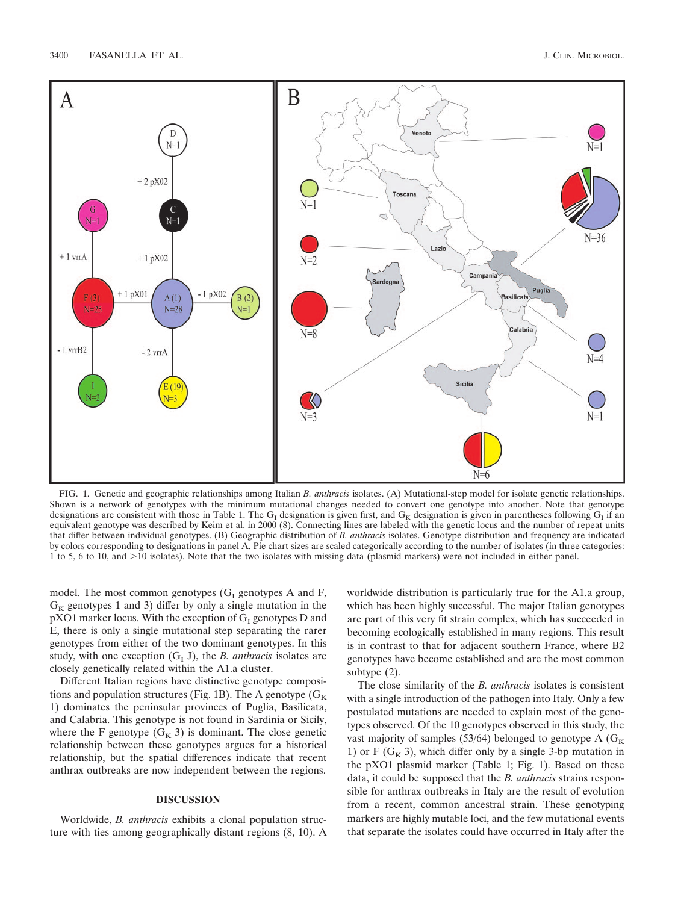

FIG. 1. Genetic and geographic relationships among Italian *B. anthracis* isolates. (A) Mutational-step model for isolate genetic relationships. Shown is a network of genotypes with the minimum mutational changes needed to convert one genotype into another. Note that genotype designations are consistent with those in Table 1. The G<sub>I</sub> designation is given first, and G<sub>K</sub> designation is given in parentheses following G<sub>I</sub> if an equivalent genotype was described by Keim et al. in 2000 (8). Connecting lines are labeled with the genetic locus and the number of repeat units that differ between individual genotypes. (B) Geographic distribution of *B. anthracis* isolates. Genotype distribution and frequency are indicated by colors corresponding to designations in panel A. Pie chart sizes are scaled categorically according to the number of isolates (in three categories: 1 to 5, 6 to 10, and >10 isolates). Note that the two isolates with missing data (plasmid markers) were not included in either panel.

model. The most common genotypes  $(G<sub>I</sub>$  genotypes A and F,  $G_K$  genotypes 1 and 3) differ by only a single mutation in the  $pXO1$  marker locus. With the exception of  $G<sub>I</sub>$  genotypes D and E, there is only a single mutational step separating the rarer genotypes from either of the two dominant genotypes. In this study, with one exception  $(G<sub>I</sub> J)$ , the *B. anthracis* isolates are closely genetically related within the A1.a cluster.

Different Italian regions have distinctive genotype compositions and population structures (Fig. 1B). The A genotype ( $G_K$ ) 1) dominates the peninsular provinces of Puglia, Basilicata, and Calabria. This genotype is not found in Sardinia or Sicily, where the F genotype  $(G_K 3)$  is dominant. The close genetic relationship between these genotypes argues for a historical relationship, but the spatial differences indicate that recent anthrax outbreaks are now independent between the regions.

#### **DISCUSSION**

Worldwide, *B. anthracis* exhibits a clonal population structure with ties among geographically distant regions (8, 10). A worldwide distribution is particularly true for the A1.a group, which has been highly successful. The major Italian genotypes are part of this very fit strain complex, which has succeeded in becoming ecologically established in many regions. This result is in contrast to that for adjacent southern France, where B2 genotypes have become established and are the most common subtype (2).

The close similarity of the *B. anthracis* isolates is consistent with a single introduction of the pathogen into Italy. Only a few postulated mutations are needed to explain most of the genotypes observed. Of the 10 genotypes observed in this study, the vast majority of samples (53/64) belonged to genotype A ( $G_K$ ) 1) or F ( $G_K$  3), which differ only by a single 3-bp mutation in the pXO1 plasmid marker (Table 1; Fig. 1). Based on these data, it could be supposed that the *B. anthracis* strains responsible for anthrax outbreaks in Italy are the result of evolution from a recent, common ancestral strain. These genotyping markers are highly mutable loci, and the few mutational events that separate the isolates could have occurred in Italy after the